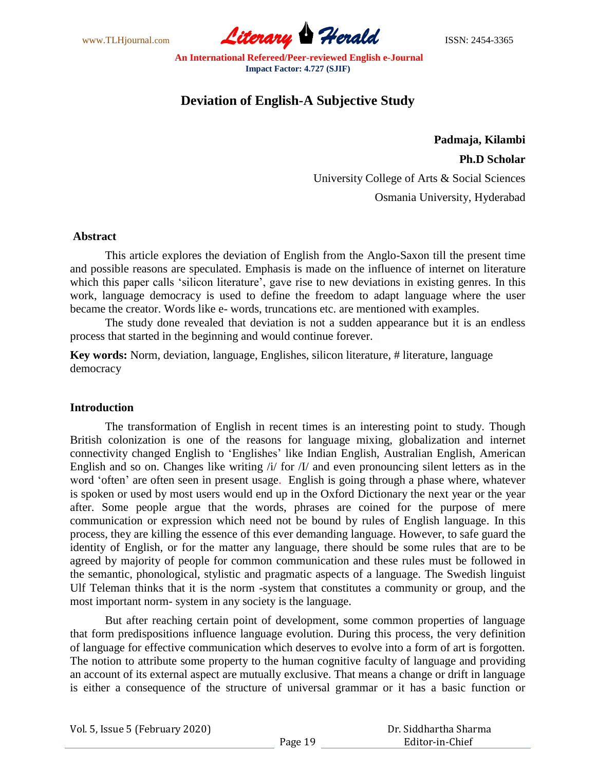

# **Deviation of English-A Subjective Study**

**Padmaja, Kilambi Ph.D Scholar** University College of Arts & Social Sciences Osmania University, Hyderabad

### **Abstract**

This article explores the deviation of English from the Anglo-Saxon till the present time and possible reasons are speculated. Emphasis is made on the influence of internet on literature which this paper calls 'silicon literature', gave rise to new deviations in existing genres. In this work, language democracy is used to define the freedom to adapt language where the user became the creator. Words like e- words, truncations etc. are mentioned with examples.

The study done revealed that deviation is not a sudden appearance but it is an endless process that started in the beginning and would continue forever.

**Key words:** Norm, deviation, language, Englishes, silicon literature, # literature, language democracy

# **Introduction**

The transformation of English in recent times is an interesting point to study. Though British colonization is one of the reasons for language mixing, globalization and internet connectivity changed English to 'Englishes' like Indian English, Australian English, American English and so on. Changes like writing  $\Delta t$  for  $\Delta t$  and even pronouncing silent letters as in the word 'often' are often seen in present usage. English is going through a phase where, whatever is spoken or used by most users would end up in the Oxford Dictionary the next year or the year after. Some people argue that the words, phrases are coined for the purpose of mere communication or expression which need not be bound by rules of English language. In this process, they are killing the essence of this ever demanding language. However, to safe guard the identity of English, or for the matter any language, there should be some rules that are to be agreed by majority of people for common communication and these rules must be followed in the semantic, phonological, stylistic and pragmatic aspects of a language. The Swedish linguist Ulf Teleman thinks that it is the norm -system that constitutes a community or group, and the most important norm- system in any society is the language.

But after reaching certain point of development, some common properties of language that form predispositions influence language evolution. During this process, the very definition of language for effective communication which deserves to evolve into a form of art is forgotten. The notion to attribute some property to the human cognitive faculty of language and providing an account of its external aspect are mutually exclusive. That means a change or drift in language is either a consequence of the structure of universal grammar or it has a basic function or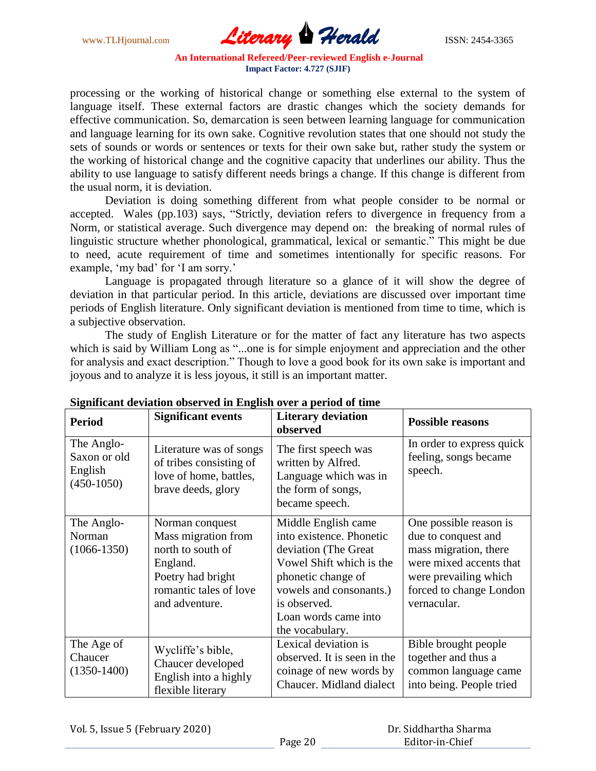

processing or the working of historical change or something else external to the system of language itself. These external factors are drastic changes which the society demands for effective communication. So, demarcation is seen between learning language for communication and language learning for its own sake. Cognitive revolution states that one should not study the sets of sounds or words or sentences or texts for their own sake but, rather study the system or the working of historical change and the cognitive capacity that underlines our ability. Thus the ability to use language to satisfy different needs brings a change. If this change is different from the usual norm, it is deviation.

Deviation is doing something different from what people consider to be normal or accepted. Wales (pp.103) says, "Strictly, deviation refers to divergence in frequency from a Norm, or statistical average. Such divergence may depend on: the breaking of normal rules of linguistic structure whether phonological, grammatical, lexical or semantic." This might be due to need, acute requirement of time and sometimes intentionally for specific reasons. For example, 'my bad' for 'I am sorry.'

Language is propagated through literature so a glance of it will show the degree of deviation in that particular period. In this article, deviations are discussed over important time periods of English literature. Only significant deviation is mentioned from time to time, which is a subjective observation.

The study of English Literature or for the matter of fact any literature has two aspects which is said by William Long as "...one is for simple enjoyment and appreciation and the other for analysis and exact description." Though to love a good book for its own sake is important and joyous and to analyze it is less joyous, it still is an important matter.

| o<br><b>Period</b>                                    | <b>Significant events</b>                                                                                                                | <b>Literary deviation</b><br>observed                                                                                                                                                                            | <b>Possible reasons</b>                                                                                                                                              |
|-------------------------------------------------------|------------------------------------------------------------------------------------------------------------------------------------------|------------------------------------------------------------------------------------------------------------------------------------------------------------------------------------------------------------------|----------------------------------------------------------------------------------------------------------------------------------------------------------------------|
| The Anglo-<br>Saxon or old<br>English<br>$(450-1050)$ | Literature was of songs<br>of tribes consisting of<br>love of home, battles,<br>brave deeds, glory                                       | The first speech was<br>written by Alfred.<br>Language which was in<br>the form of songs,<br>became speech.                                                                                                      | In order to express quick<br>feeling, songs became<br>speech.                                                                                                        |
| The Anglo-<br>Norman<br>$(1066 - 1350)$               | Norman conquest<br>Mass migration from<br>north to south of<br>England.<br>Poetry had bright<br>romantic tales of love<br>and adventure. | Middle English came<br>into existence. Phonetic<br>deviation (The Great)<br>Vowel Shift which is the<br>phonetic change of<br>vowels and consonants.)<br>is observed.<br>Loan words came into<br>the vocabulary. | One possible reason is<br>due to conquest and<br>mass migration, there<br>were mixed accents that<br>were prevailing which<br>forced to change London<br>vernacular. |
| The Age of<br>Chaucer<br>$(1350-1400)$                | Wycliffe's bible,<br>Chaucer developed<br>English into a highly<br>flexible literary                                                     | Lexical deviation is<br>observed. It is seen in the<br>coinage of new words by<br>Chaucer. Midland dialect                                                                                                       | Bible brought people<br>together and thus a<br>common language came<br>into being. People tried                                                                      |

### **Significant deviation observed in English over a period of time**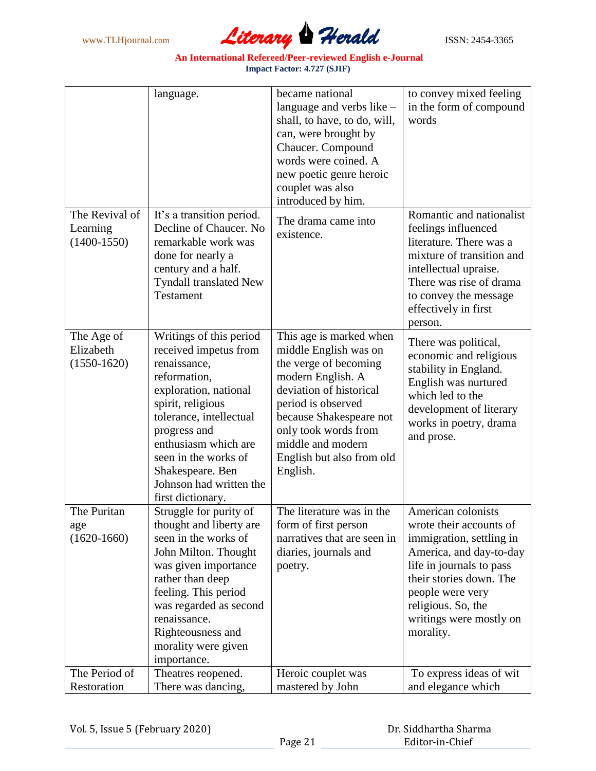

|                                             | language.                                                                                                                                                                                                                                                                                     | became national<br>language and verbs like -<br>shall, to have, to do, will,<br>can, were brought by<br>Chaucer. Compound<br>words were coined. A<br>new poetic genre heroic<br>couplet was also<br>introduced by him.                                           | to convey mixed feeling<br>in the form of compound<br>words                                                                                                                                                                                   |
|---------------------------------------------|-----------------------------------------------------------------------------------------------------------------------------------------------------------------------------------------------------------------------------------------------------------------------------------------------|------------------------------------------------------------------------------------------------------------------------------------------------------------------------------------------------------------------------------------------------------------------|-----------------------------------------------------------------------------------------------------------------------------------------------------------------------------------------------------------------------------------------------|
| The Revival of<br>Learning<br>$(1400-1550)$ | It's a transition period.<br>Decline of Chaucer. No<br>remarkable work was<br>done for nearly a<br>century and a half.<br>Tyndall translated New<br><b>Testament</b>                                                                                                                          | The drama came into<br>existence.                                                                                                                                                                                                                                | Romantic and nationalist<br>feelings influenced<br>literature. There was a<br>mixture of transition and<br>intellectual upraise.<br>There was rise of drama<br>to convey the message<br>effectively in first<br>person.                       |
| The Age of<br>Elizabeth<br>$(1550-1620)$    | Writings of this period<br>received impetus from<br>renaissance,<br>reformation,<br>exploration, national<br>spirit, religious<br>tolerance, intellectual<br>progress and<br>enthusiasm which are<br>seen in the works of<br>Shakespeare. Ben<br>Johnson had written the<br>first dictionary. | This age is marked when<br>middle English was on<br>the verge of becoming<br>modern English. A<br>deviation of historical<br>period is observed<br>because Shakespeare not<br>only took words from<br>middle and modern<br>English but also from old<br>English. | There was political,<br>economic and religious<br>stability in England.<br>English was nurtured<br>which led to the<br>development of literary<br>works in poetry, drama<br>and prose.                                                        |
| The Puritan<br>age<br>$(1620 - 1660)$       | Struggle for purity of<br>thought and liberty are<br>seen in the works of<br>John Milton. Thought<br>was given importance<br>rather than deep<br>feeling. This period<br>was regarded as second<br>renaissance.<br>Righteousness and<br>morality were given<br>importance.                    | The literature was in the<br>form of first person<br>narratives that are seen in<br>diaries, journals and<br>poetry.                                                                                                                                             | American colonists<br>wrote their accounts of<br>immigration, settling in<br>America, and day-to-day<br>life in journals to pass<br>their stories down. The<br>people were very<br>religious. So, the<br>writings were mostly on<br>morality. |
| The Period of<br>Restoration                | Theatres reopened.<br>There was dancing,                                                                                                                                                                                                                                                      | Heroic couplet was<br>mastered by John                                                                                                                                                                                                                           | To express ideas of wit<br>and elegance which                                                                                                                                                                                                 |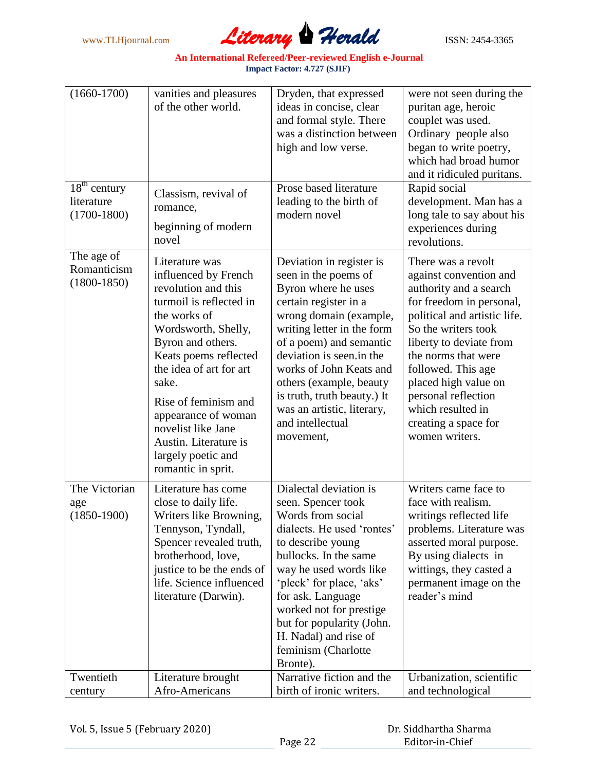

| $(1660 - 1700)$                               | vanities and pleasures<br>of the other world.                                                                                                                                                                                                                                                                                                               | Dryden, that expressed<br>ideas in concise, clear<br>and formal style. There<br>was a distinction between<br>high and low verse.                                                                                                                                                                                                                                    | were not seen during the<br>puritan age, heroic<br>couplet was used.<br>Ordinary people also<br>began to write poetry,<br>which had broad humor<br>and it ridiculed puritans.                                                                                                                                                                   |
|-----------------------------------------------|-------------------------------------------------------------------------------------------------------------------------------------------------------------------------------------------------------------------------------------------------------------------------------------------------------------------------------------------------------------|---------------------------------------------------------------------------------------------------------------------------------------------------------------------------------------------------------------------------------------------------------------------------------------------------------------------------------------------------------------------|-------------------------------------------------------------------------------------------------------------------------------------------------------------------------------------------------------------------------------------------------------------------------------------------------------------------------------------------------|
| $18th$ century<br>literature<br>$(1700-1800)$ | Classism, revival of<br>romance,<br>beginning of modern<br>novel                                                                                                                                                                                                                                                                                            | Prose based literature<br>leading to the birth of<br>modern novel                                                                                                                                                                                                                                                                                                   | Rapid social<br>development. Man has a<br>long tale to say about his<br>experiences during<br>revolutions.                                                                                                                                                                                                                                      |
| The age of<br>Romanticism<br>$(1800-1850)$    | Literature was<br>influenced by French<br>revolution and this<br>turmoil is reflected in<br>the works of<br>Wordsworth, Shelly,<br>Byron and others.<br>Keats poems reflected<br>the idea of art for art<br>sake.<br>Rise of feminism and<br>appearance of woman<br>novelist like Jane<br>Austin. Literature is<br>largely poetic and<br>romantic in sprit. | Deviation in register is<br>seen in the poems of<br>Byron where he uses<br>certain register in a<br>wrong domain (example,<br>writing letter in the form<br>of a poem) and semantic<br>deviation is seen.in the<br>works of John Keats and<br>others (example, beauty<br>is truth, truth beauty.) It<br>was an artistic, literary,<br>and intellectual<br>movement, | There was a revolt<br>against convention and<br>authority and a search<br>for freedom in personal,<br>political and artistic life.<br>So the writers took<br>liberty to deviate from<br>the norms that were<br>followed. This age<br>placed high value on<br>personal reflection<br>which resulted in<br>creating a space for<br>women writers. |
| The Victorian<br>age<br>$(1850-1900)$         | Literature has come<br>close to daily life.<br>Writers like Browning,<br>Tennyson, Tyndall,<br>Spencer revealed truth,<br>brotherhood, love,<br>justice to be the ends of<br>life. Science influenced<br>literature (Darwin).                                                                                                                               | Dialectal deviation is<br>seen. Spencer took<br>Words from social<br>dialects. He used 'rontes'<br>to describe young<br>bullocks. In the same<br>way he used words like<br>'pleck' for place, 'aks'<br>for ask. Language<br>worked not for prestige<br>but for popularity (John.<br>H. Nadal) and rise of<br>feminism (Charlotte<br>Bronte).                        | Writers came face to<br>face with realism.<br>writings reflected life<br>problems. Literature was<br>asserted moral purpose.<br>By using dialects in<br>wittings, they casted a<br>permanent image on the<br>reader's mind                                                                                                                      |
| Twentieth<br>century                          | Literature brought<br>Afro-Americans                                                                                                                                                                                                                                                                                                                        | Narrative fiction and the<br>birth of ironic writers.                                                                                                                                                                                                                                                                                                               | Urbanization, scientific<br>and technological                                                                                                                                                                                                                                                                                                   |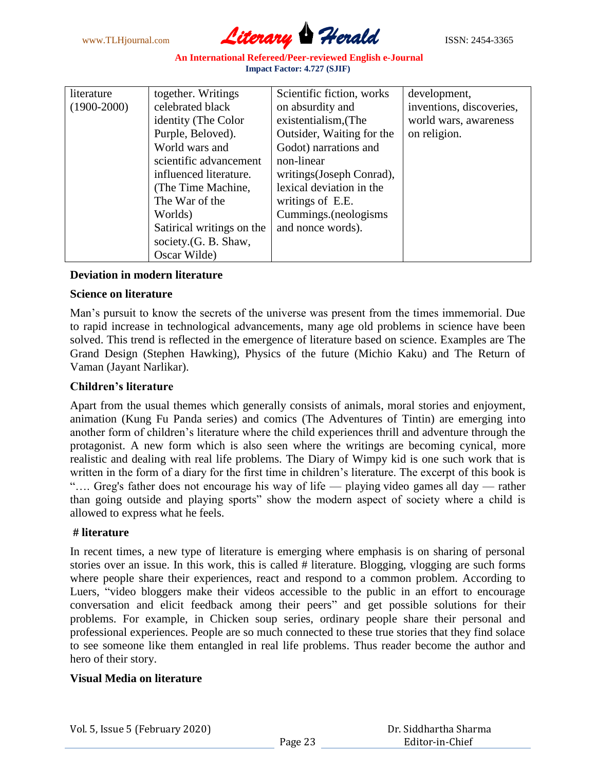

| literature    | together. Writings        | Scientific fiction, works | development,             |
|---------------|---------------------------|---------------------------|--------------------------|
| $(1900-2000)$ | celebrated black          | on absurdity and          | inventions, discoveries, |
|               | identity (The Color       | existentialism, (The      | world wars, awareness    |
|               | Purple, Beloved).         | Outsider, Waiting for the | on religion.             |
|               | World wars and            | Godot) narrations and     |                          |
|               | scientific advancement    | non-linear                |                          |
|               | influenced literature.    | writings (Joseph Conrad), |                          |
|               | (The Time Machine,        | lexical deviation in the  |                          |
|               | The War of the            | writings of E.E.          |                          |
|               | Worlds)                   | Cummings.(neologisms      |                          |
|               | Satirical writings on the | and nonce words).         |                          |
|               | society.(G. B. Shaw,      |                           |                          |
|               | Oscar Wilde               |                           |                          |

# **Deviation in modern literature**

### **Science on literature**

Man's pursuit to know the secrets of the universe was present from the times immemorial. Due to rapid increase in technological advancements, many age old problems in science have been solved. This trend is reflected in the emergence of literature based on science. Examples are The Grand Design (Stephen Hawking), Physics of the future (Michio Kaku) and The Return of Vaman (Jayant Narlikar).

# **Children's literature**

Apart from the usual themes which generally consists of animals, moral stories and enjoyment, animation (Kung Fu Panda series) and comics (The Adventures of Tintin) are emerging into another form of children's literature where the child experiences thrill and adventure through the protagonist. A new form which is also seen where the writings are becoming cynical, more realistic and dealing with real life problems. The Diary of Wimpy kid is one such work that is written in the form of a diary for the first time in children's literature. The excerpt of this book is ".... Greg's father does not encourage his way of life — playing video games all day — rather than going outside and playing sports" show the modern aspect of society where a child is allowed to express what he feels.

### **# literature**

In recent times, a new type of literature is emerging where emphasis is on sharing of personal stories over an issue. In this work, this is called # literature. Blogging, vlogging are such forms where people share their experiences, react and respond to a common problem. According to Luers, "video bloggers make their videos accessible to the public in an effort to encourage conversation and elicit feedback among their peers" and get possible solutions for their problems. For example, in Chicken soup series, ordinary people share their personal and professional experiences. People are so much connected to these true stories that they find solace to see someone like them entangled in real life problems. Thus reader become the author and hero of their story.

# **Visual Media on literature**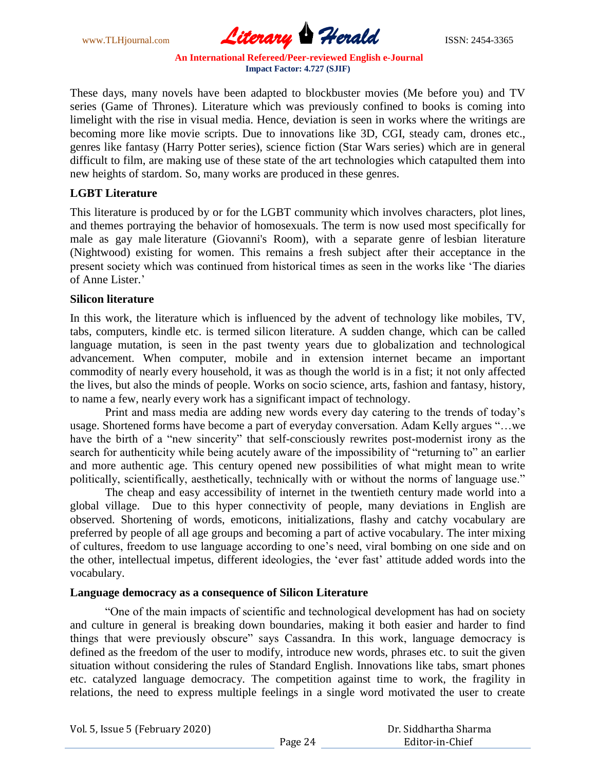

These days, many novels have been adapted to blockbuster movies (Me before you) and TV series (Game of Thrones). Literature which was previously confined to books is coming into limelight with the rise in visual media. Hence, deviation is seen in works where the writings are becoming more like movie scripts. Due to innovations like 3D, CGI, steady cam, drones etc., genres like fantasy (Harry Potter series), science fiction (Star Wars series) which are in general difficult to film, are making use of these state of the art technologies which catapulted them into new heights of stardom. So, many works are produced in these genres.

### **LGBT Literature**

This literature is produced by or for the LGBT community which involves characters, plot lines, and themes portraying the behavior of homosexuals. The term is now used most specifically for male as gay male literature (Giovanni's Room), with a separate genre of lesbian literature (Nightwood) existing for women. This remains a fresh subject after their acceptance in the present society which was continued from historical times as seen in the works like 'The diaries' of Anne Lister.'

### **Silicon literature**

In this work, the literature which is influenced by the advent of technology like mobiles, TV, tabs, computers, kindle etc. is termed silicon literature. A sudden change, which can be called language mutation, is seen in the past twenty years due to globalization and technological advancement. When computer, mobile and in extension internet became an important commodity of nearly every household, it was as though the world is in a fist; it not only affected the lives, but also the minds of people. Works on socio science, arts, fashion and fantasy, history, to name a few, nearly every work has a significant impact of technology.

Print and mass media are adding new words every day catering to the trends of today's usage. Shortened forms have become a part of everyday conversation. Adam Kelly argues "...we have the birth of a "new sincerity" that self-consciously rewrites post-modernist irony as the search for authenticity while being acutely aware of the impossibility of "returning to" an earlier and more authentic age. This century opened new possibilities of what might mean to write politically, scientifically, aesthetically, technically with or without the norms of language use."

The cheap and easy accessibility of internet in the twentieth century made world into a global village. Due to this hyper connectivity of people, many deviations in English are observed. Shortening of words, emoticons, initializations, flashy and catchy vocabulary are preferred by people of all age groups and becoming a part of active vocabulary. The inter mixing of cultures, freedom to use language according to one's need, viral bombing on one side and on the other, intellectual impetus, different ideologies, the 'ever fast' attitude added words into the vocabulary.

### **Language democracy as a consequence of Silicon Literature**

―One of the main impacts of scientific and technological development has had on society and culture in general is breaking down boundaries, making it both easier and harder to find things that were previously obscure" says Cassandra. In this work, language democracy is defined as the freedom of the user to modify, introduce new words, phrases etc. to suit the given situation without considering the rules of Standard English. Innovations like tabs, smart phones etc. catalyzed language democracy. The competition against time to work, the fragility in relations, the need to express multiple feelings in a single word motivated the user to create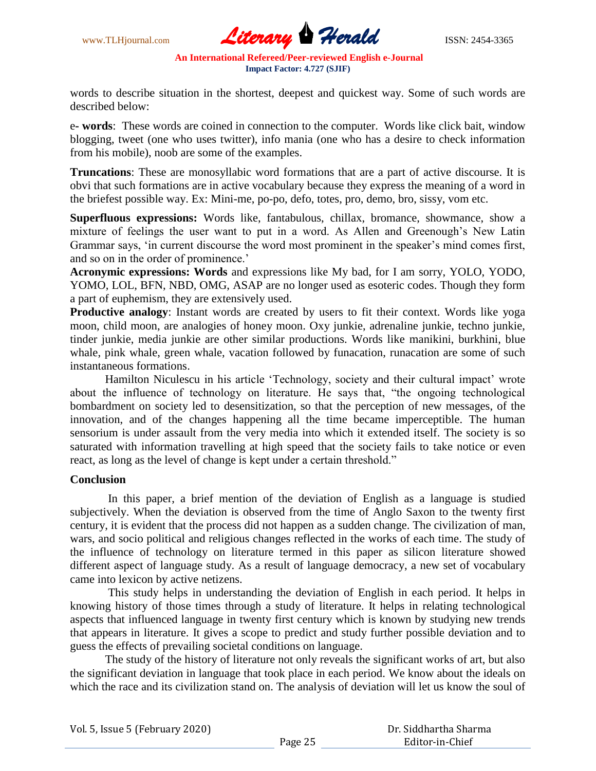

words to describe situation in the shortest, deepest and quickest way. Some of such words are described below:

e**- words**: These words are coined in connection to the computer. Words like click bait, window blogging, tweet (one who uses twitter), info mania (one who has a desire to check information from his mobile), noob are some of the examples.

**Truncations**: These are monosyllabic word formations that are a part of active discourse. It is obvi that such formations are in active vocabulary because they express the meaning of a word in the briefest possible way. Ex: Mini-me, po-po, defo, totes, pro, demo, bro, sissy, vom etc.

**Superfluous expressions:** Words like, fantabulous, chillax, bromance, showmance, show a mixture of feelings the user want to put in a word. As Allen and Greenough's New Latin Grammar says, ‗in current discourse the word most prominent in the speaker's mind comes first, and so on in the order of prominence.'

**Acronymic expressions: Words** and expressions like My bad, for I am sorry, YOLO, YODO, YOMO, LOL, BFN, NBD, OMG, ASAP are no longer used as esoteric codes. Though they form a part of euphemism, they are extensively used.

**Productive analogy**: Instant words are created by users to fit their context. Words like yoga moon, child moon, are analogies of honey moon. Oxy junkie, adrenaline junkie, techno junkie, tinder junkie, media junkie are other similar productions. Words like manikini, burkhini, blue whale, pink whale, green whale, vacation followed by funacation, runacation are some of such instantaneous formations.

Hamilton Niculescu in his article 'Technology, society and their cultural impact' wrote about the influence of technology on literature. He says that, "the ongoing technological bombardment on society led to desensitization, so that the perception of new messages, of the innovation, and of the changes happening all the time became imperceptible. The human sensorium is under assault from the very media into which it extended itself. The society is so saturated with information travelling at high speed that the society fails to take notice or even react, as long as the level of change is kept under a certain threshold."

### **Conclusion**

In this paper, a brief mention of the deviation of English as a language is studied subjectively. When the deviation is observed from the time of Anglo Saxon to the twenty first century, it is evident that the process did not happen as a sudden change. The civilization of man, wars, and socio political and religious changes reflected in the works of each time. The study of the influence of technology on literature termed in this paper as silicon literature showed different aspect of language study. As a result of language democracy, a new set of vocabulary came into lexicon by active netizens.

This study helps in understanding the deviation of English in each period. It helps in knowing history of those times through a study of literature. It helps in relating technological aspects that influenced language in twenty first century which is known by studying new trends that appears in literature. It gives a scope to predict and study further possible deviation and to guess the effects of prevailing societal conditions on language.

The study of the history of literature not only reveals the significant works of art, but also the significant deviation in language that took place in each period. We know about the ideals on which the race and its civilization stand on. The analysis of deviation will let us know the soul of

Vol. 5, Issue 5 (February 2020)

 Dr. Siddhartha Sharma Editor-in-Chief